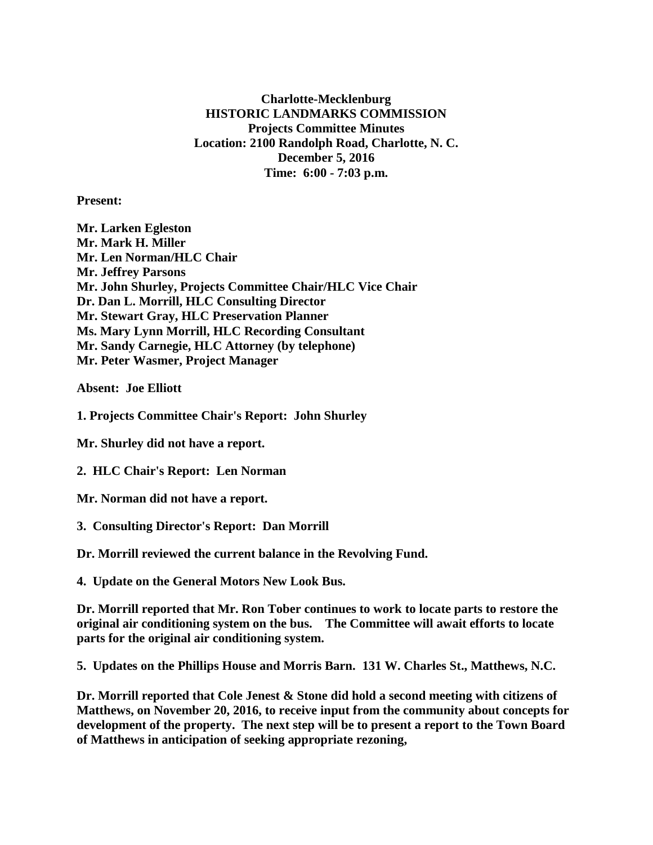**Charlotte-Mecklenburg HISTORIC LANDMARKS COMMISSION Projects Committee Minutes Location: 2100 Randolph Road, Charlotte, N. C. December 5, 2016 Time: 6:00 - 7:03 p.m.**

**Present:**

**Mr. Larken Egleston Mr. Mark H. Miller Mr. Len Norman/HLC Chair Mr. Jeffrey Parsons Mr. John Shurley, Projects Committee Chair/HLC Vice Chair Dr. Dan L. Morrill, HLC Consulting Director Mr. Stewart Gray, HLC Preservation Planner Ms. Mary Lynn Morrill, HLC Recording Consultant Mr. Sandy Carnegie, HLC Attorney (by telephone) Mr. Peter Wasmer, Project Manager**

**Absent: Joe Elliott**

**1. Projects Committee Chair's Report: John Shurley**

**Mr. Shurley did not have a report.**

**2. HLC Chair's Report: Len Norman**

**Mr. Norman did not have a report.**

**3. Consulting Director's Report: Dan Morrill**

**Dr. Morrill reviewed the current balance in the Revolving Fund.**

**4. Update on the General Motors New Look Bus.**

**Dr. Morrill reported that Mr. Ron Tober continues to work to locate parts to restore the original air conditioning system on the bus. The Committee will await efforts to locate parts for the original air conditioning system.**

**5. Updates on the Phillips House and Morris Barn. 131 W. Charles St., Matthews, N.C.**

**Dr. Morrill reported that Cole Jenest & Stone did hold a second meeting with citizens of Matthews, on November 20, 2016, to receive input from the community about concepts for development of the property. The next step will be to present a report to the Town Board of Matthews in anticipation of seeking appropriate rezoning,**